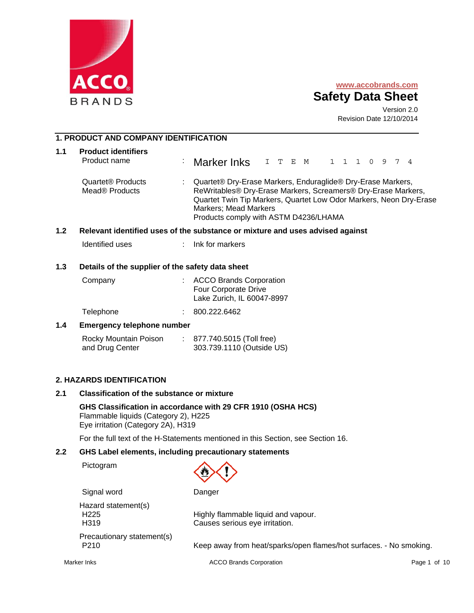



Version 2.0 Revision Date 12/10/2014

## **1. PRODUCT AND COMPANY IDENTIFICATION**

| 1.1 | <b>Product identifiers</b><br>Product name                  | : Marker Inks I T E M 1 1 1 0 9 7 4                                                                                                                                                                                                                                  |  |  |  |  |  |  |
|-----|-------------------------------------------------------------|----------------------------------------------------------------------------------------------------------------------------------------------------------------------------------------------------------------------------------------------------------------------|--|--|--|--|--|--|
|     | Quartet <sup>®</sup> Products<br>Mead <sup>®</sup> Products | Quartet® Dry-Erase Markers, Enduraglide® Dry-Erase Markers,<br>ReWritables® Dry-Erase Markers, Screamers® Dry-Erase Markers,<br>Quartet Twin Tip Markers, Quartet Low Odor Markers, Neon Dry-Erase<br>Markers; Mead Markers<br>Products comply with ASTM D4236/LHAMA |  |  |  |  |  |  |

#### **1.2 Relevant identified uses of the substance or mixture and uses advised against**

Identified uses : Ink for markers

#### **1.3 Details of the supplier of the safety data sheet**

| Company   | : ACCO Brands Corporation<br>Four Corporate Drive<br>Lake Zurich, IL 60047-8997 |
|-----------|---------------------------------------------------------------------------------|
| Telephone | 800.222.6462                                                                    |

### **1.4 Emergency telephone number**

| Rocky Mountain Poison | 877.740.5015 (Toll free)  |
|-----------------------|---------------------------|
| and Drug Center       | 303.739.1110 (Outside US) |

## **2. HAZARDS IDENTIFICATION**

#### **2.1 Classification of the substance or mixture**

**GHS Classification in accordance with 29 CFR 1910 (OSHA HCS)**  Flammable liquids (Category 2), H225 Eye irritation (Category 2A), H319

For the full text of the H-Statements mentioned in this Section, see Section 16.

#### **2.2 GHS Label elements, including precautionary statements**

Pictogram



Signal word Danger

Hazard statement(s) Precautionary statement(s)

H225 Highly flammable liquid and vapour. H319 Causes serious eye irritation.

P210 Keep away from heat/sparks/open flames/hot surfaces. - No smoking.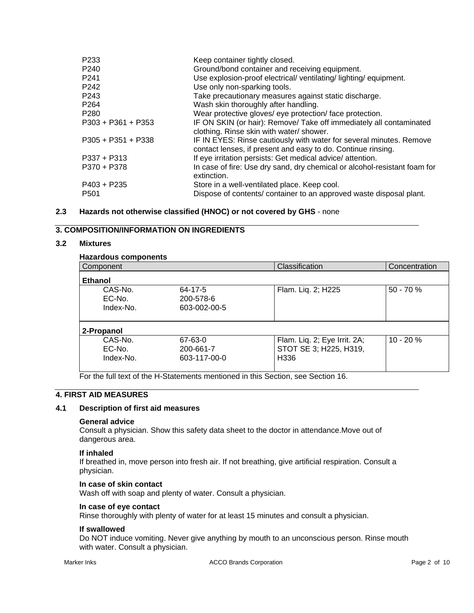| P <sub>233</sub><br>P <sub>240</sub><br>P <sub>241</sub> | Keep container tightly closed.<br>Ground/bond container and receiving equipment.<br>Use explosion-proof electrical/ ventilating/ lighting/ equipment. |
|----------------------------------------------------------|-------------------------------------------------------------------------------------------------------------------------------------------------------|
| P <sub>242</sub>                                         | Use only non-sparking tools.                                                                                                                          |
| P243                                                     | Take precautionary measures against static discharge.                                                                                                 |
| P <sub>264</sub>                                         | Wash skin thoroughly after handling.                                                                                                                  |
| P <sub>280</sub>                                         | Wear protective gloves/ eye protection/ face protection.                                                                                              |
| $P303 + P361 + P353$                                     | IF ON SKIN (or hair): Remove/ Take off immediately all contaminated<br>clothing. Rinse skin with water/ shower.                                       |
| $P305 + P351 + P338$                                     | IF IN EYES: Rinse cautiously with water for several minutes. Remove<br>contact lenses, if present and easy to do. Continue rinsing.                   |
| $P337 + P313$                                            | If eye irritation persists: Get medical advice/attention.                                                                                             |
| P370 + P378                                              | In case of fire: Use dry sand, dry chemical or alcohol-resistant foam for<br>extinction.                                                              |
| $P403 + P235$                                            | Store in a well-ventilated place. Keep cool.                                                                                                          |
| P <sub>501</sub>                                         | Dispose of contents/ container to an approved waste disposal plant.                                                                                   |

## **2.3 Hazards not otherwise classified (HNOC) or not covered by GHS** - none

## **3. COMPOSITION/INFORMATION ON INGREDIENTS**

#### **3.2 Mixtures**

## **Hazardous components**

| ι ιαλαι ύνωσ τοπιροποιπο |              |                              |               |
|--------------------------|--------------|------------------------------|---------------|
| Component                |              | Classification               | Concentration |
| <b>Ethanol</b>           |              |                              |               |
| CAS-No.                  | 64-17-5      | Flam. Liq. 2; H225           | $50 - 70%$    |
| EC-No.                   | 200-578-6    |                              |               |
| Index-No.                | 603-002-00-5 |                              |               |
|                          |              |                              |               |
| 2-Propanol               |              |                              |               |
| CAS-No.                  | 67-63-0      | Flam. Liq. 2; Eye Irrit. 2A; | $10 - 20%$    |
| EC-No.                   | 200-661-7    | STOT SE 3; H225, H319,       |               |
| Index-No.                | 603-117-00-0 | H336                         |               |
|                          |              |                              |               |

For the full text of the H-Statements mentioned in this Section, see Section 16.

## **4. FIRST AID MEASURES**

## **4.1 Description of first aid measures**

## **General advice**

Consult a physician. Show this safety data sheet to the doctor in attendance.Move out of dangerous area.

#### **If inhaled**

If breathed in, move person into fresh air. If not breathing, give artificial respiration. Consult a physician.

#### **In case of skin contact**

Wash off with soap and plenty of water. Consult a physician.

### **In case of eye contact**

Rinse thoroughly with plenty of water for at least 15 minutes and consult a physician.

#### **If swallowed**

Do NOT induce vomiting. Never give anything by mouth to an unconscious person. Rinse mouth with water. Consult a physician.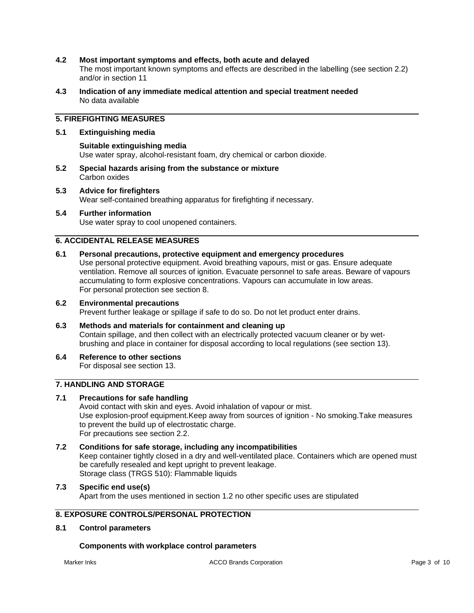### **4.2 Most important symptoms and effects, both acute and delayed**

The most important known symptoms and effects are described in the labelling (see section 2.2) and/or in section 11

**4.3 Indication of any immediate medical attention and special treatment needed**  No data available

## **5. FIREFIGHTING MEASURES**

#### **5.1 Extinguishing media**

**Suitable extinguishing media**  Use water spray, alcohol-resistant foam, dry chemical or carbon dioxide.

- **5.2 Special hazards arising from the substance or mixture**  Carbon oxides
- **5.3 Advice for firefighters**  Wear self-contained breathing apparatus for firefighting if necessary.
- **5.4 Further information**  Use water spray to cool unopened containers.

## **6. ACCIDENTAL RELEASE MEASURES**

## **6.1 Personal precautions, protective equipment and emergency procedures**

Use personal protective equipment. Avoid breathing vapours, mist or gas. Ensure adequate ventilation. Remove all sources of ignition. Evacuate personnel to safe areas. Beware of vapours accumulating to form explosive concentrations. Vapours can accumulate in low areas. For personal protection see section 8.

# **6.2 Environmental precautions**

Prevent further leakage or spillage if safe to do so. Do not let product enter drains.

## **6.3 Methods and materials for containment and cleaning up**  Contain spillage, and then collect with an electrically protected vacuum cleaner or by wetbrushing and place in container for disposal according to local regulations (see section 13).

**6.4 Reference to other sections** 

For disposal see section 13.

## **7. HANDLING AND STORAGE**

## **7.1 Precautions for safe handling**

Avoid contact with skin and eyes. Avoid inhalation of vapour or mist. Use explosion-proof equipment.Keep away from sources of ignition - No smoking.Take measures to prevent the build up of electrostatic charge. For precautions see section 2.2.

**7.2 Conditions for safe storage, including any incompatibilities**  Keep container tightly closed in a dry and well-ventilated place. Containers which are opened must be carefully resealed and kept upright to prevent leakage. Storage class (TRGS 510): Flammable liquids

#### **7.3 Specific end use(s)**  Apart from the uses mentioned in section 1.2 no other specific uses are stipulated

## **8. EXPOSURE CONTROLS/PERSONAL PROTECTION**

## **8.1 Control parameters**

#### **Components with workplace control parameters**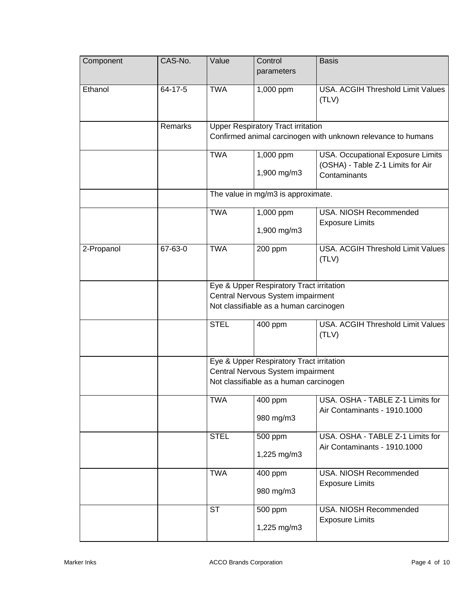| Component  | CAS-No. | Value                              | Control<br>parameters                                                                                                   | <b>Basis</b>                                                                           |
|------------|---------|------------------------------------|-------------------------------------------------------------------------------------------------------------------------|----------------------------------------------------------------------------------------|
| Ethanol    | 64-17-5 | <b>TWA</b>                         | 1,000 ppm                                                                                                               | USA. ACGIH Threshold Limit Values<br>(TLV)                                             |
|            | Remarks |                                    | <b>Upper Respiratory Tract irritation</b>                                                                               | Confirmed animal carcinogen with unknown relevance to humans                           |
|            |         | <b>TWA</b>                         | 1,000 ppm<br>1,900 mg/m3                                                                                                | USA. Occupational Exposure Limits<br>(OSHA) - Table Z-1 Limits for Air<br>Contaminants |
|            |         | The value in mg/m3 is approximate. |                                                                                                                         |                                                                                        |
|            |         | <b>TWA</b>                         | 1,000 ppm<br>1,900 mg/m3                                                                                                | USA. NIOSH Recommended<br><b>Exposure Limits</b>                                       |
| 2-Propanol | 67-63-0 | <b>TWA</b>                         | 200 ppm                                                                                                                 | <b>USA. ACGIH Threshold Limit Values</b><br>(TLV)                                      |
|            |         |                                    | Eye & Upper Respiratory Tract irritation<br>Central Nervous System impairment<br>Not classifiable as a human carcinogen |                                                                                        |
|            |         | <b>STEL</b>                        | 400 ppm                                                                                                                 | USA. ACGIH Threshold Limit Values<br>(TLV)                                             |
|            |         |                                    | Eye & Upper Respiratory Tract irritation<br>Central Nervous System impairment<br>Not classifiable as a human carcinogen |                                                                                        |
|            |         | <b>TWA</b>                         | 400 ppm<br>980 mg/m3                                                                                                    | USA, OSHA - TABLE Z-1 Limits for<br>Air Contaminants - 1910.1000                       |
|            |         | <b>STEL</b>                        | 500 ppm<br>1,225 mg/m3                                                                                                  | USA. OSHA - TABLE Z-1 Limits for<br>Air Contaminants - 1910.1000                       |
|            |         | <b>TWA</b>                         | 400 ppm<br>980 mg/m3                                                                                                    | USA. NIOSH Recommended<br><b>Exposure Limits</b>                                       |
|            |         | <b>ST</b>                          | 500 ppm<br>1,225 mg/m3                                                                                                  | USA. NIOSH Recommended<br><b>Exposure Limits</b>                                       |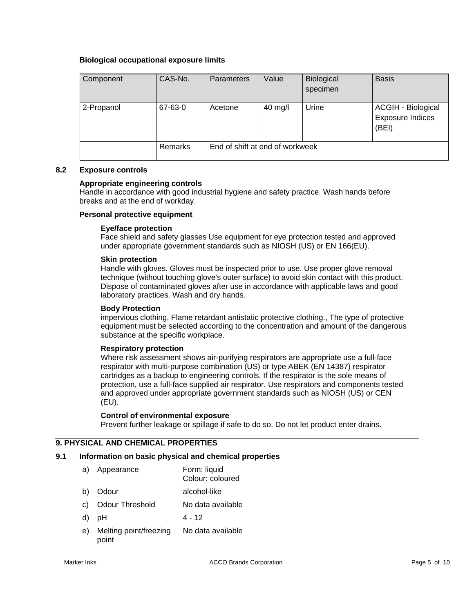## **Biological occupational exposure limits**

| Component  | CAS-No.        | <b>Parameters</b>               | Value   | Biological<br>specimen | <b>Basis</b>                                           |
|------------|----------------|---------------------------------|---------|------------------------|--------------------------------------------------------|
| 2-Propanol | 67-63-0        | Acetone                         | 40 mg/l | Urine                  | ACGIH - Biological<br><b>Exposure Indices</b><br>(BEI) |
|            | <b>Remarks</b> | End of shift at end of workweek |         |                        |                                                        |

#### **8.2 Exposure controls**

### **Appropriate engineering controls**

Handle in accordance with good industrial hygiene and safety practice. Wash hands before breaks and at the end of workday.

#### **Personal protective equipment**

#### **Eye/face protection**

Face shield and safety glasses Use equipment for eye protection tested and approved under appropriate government standards such as NIOSH (US) or EN 166(EU).

#### **Skin protection**

Handle with gloves. Gloves must be inspected prior to use. Use proper glove removal technique (without touching glove's outer surface) to avoid skin contact with this product. Dispose of contaminated gloves after use in accordance with applicable laws and good laboratory practices. Wash and dry hands.

#### **Body Protection**

impervious clothing, Flame retardant antistatic protective clothing., The type of protective equipment must be selected according to the concentration and amount of the dangerous substance at the specific workplace.

#### **Respiratory protection**

Where risk assessment shows air-purifying respirators are appropriate use a full-face respirator with multi-purpose combination (US) or type ABEK (EN 14387) respirator cartridges as a backup to engineering controls. If the respirator is the sole means of protection, use a full-face supplied air respirator. Use respirators and components tested and approved under appropriate government standards such as NIOSH (US) or CEN (EU).

#### **Control of environmental exposure**

Prevent further leakage or spillage if safe to do so. Do not let product enter drains.

## **9. PHYSICAL AND CHEMICAL PROPERTIES**

### **9.1 Information on basic physical and chemical properties**

- a) Appearance Form: liquid Colour: coloured
- b) Odour alcohol-like
- 
- c) Odour Threshold No data available
- d) pH 4 12
- e) Melting point/freezing point No data available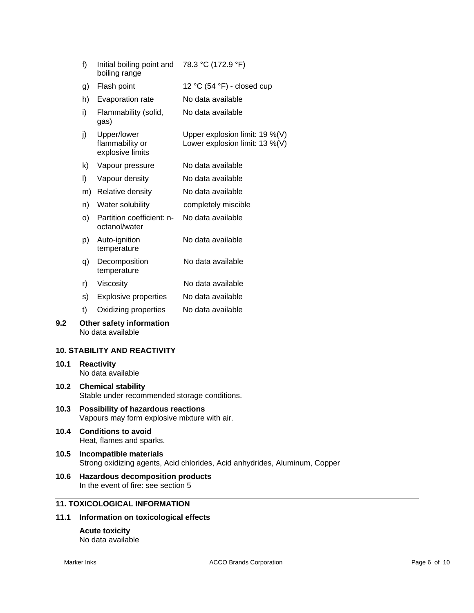| f) | Initial boiling point and<br>boiling range         | 78.3 °C (172.9 °F)                                                     |
|----|----------------------------------------------------|------------------------------------------------------------------------|
| g) | Flash point                                        | 12 °C (54 °F) - closed cup                                             |
| h) | Evaporation rate                                   | No data available                                                      |
| i) | Flammability (solid,<br>gas)                       | No data available                                                      |
| j) | Upper/lower<br>flammability or<br>explosive limits | Upper explosion limit: $19\%$ (V)<br>Lower explosion limit: $13\%$ (V) |
| k) | Vapour pressure                                    | No data available                                                      |
| I) | Vapour density                                     | No data available                                                      |
| m) | Relative density                                   | No data available                                                      |
| n) | Water solubility                                   | completely miscible                                                    |
| O) | Partition coefficient: n-<br>octanol/water         | No data available                                                      |
| p) | Auto-ignition<br>temperature                       | No data available                                                      |
| q) | Decomposition<br>temperature                       | No data available                                                      |
| r) | Viscosity                                          | No data available                                                      |
| s) | <b>Explosive properties</b>                        | No data available                                                      |
| t) | Oxidizing properties                               | No data available                                                      |
|    |                                                    |                                                                        |

**9.2 Other safety information**  No data available

## **10. STABILITY AND REACTIVITY**

- **10.1 Reactivity**  No data available
- **10.2 Chemical stability**  Stable under recommended storage conditions.
- **10.3 Possibility of hazardous reactions**  Vapours may form explosive mixture with air.
- **10.4 Conditions to avoid**  Heat, flames and sparks.
- **10.5 Incompatible materials**  Strong oxidizing agents, Acid chlorides, Acid anhydrides, Aluminum, Copper
- **10.6 Hazardous decomposition products**  In the event of fire: see section 5

## **11. TOXICOLOGICAL INFORMATION**

## **11.1 Information on toxicological effects**

**Acute toxicity**  No data available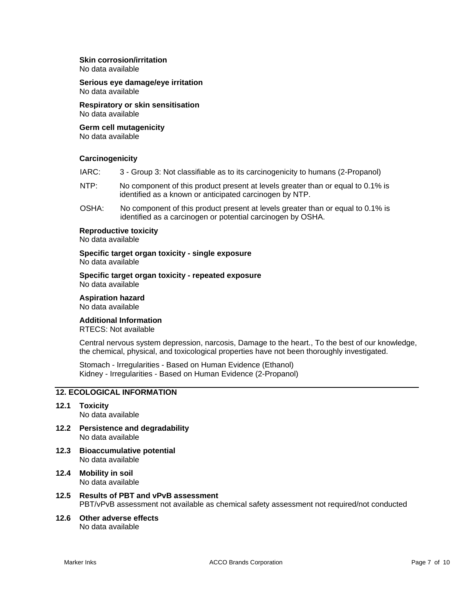## **Skin corrosion/irritation**

No data available

**Serious eye damage/eye irritation**  No data available

**Respiratory or skin sensitisation**  No data available

## **Germ cell mutagenicity**

No data available

#### **Carcinogenicity**

| IARC:<br>3 - Group 3: Not classifiable as to its carcinogenicity to humans (2-Propanol) |  |
|-----------------------------------------------------------------------------------------|--|
|-----------------------------------------------------------------------------------------|--|

- NTP: No component of this product present at levels greater than or equal to 0.1% is identified as a known or anticipated carcinogen by NTP.
- OSHA: No component of this product present at levels greater than or equal to 0.1% is identified as a carcinogen or potential carcinogen by OSHA.

## **Reproductive toxicity**

No data available

#### **Specific target organ toxicity - single exposure**  No data available

**Specific target organ toxicity - repeated exposure**  No data available

**Aspiration hazard**  No data available

### **Additional Information**

RTECS: Not available

Central nervous system depression, narcosis, Damage to the heart., To the best of our knowledge, the chemical, physical, and toxicological properties have not been thoroughly investigated.

Stomach - Irregularities - Based on Human Evidence (Ethanol) Kidney - Irregularities - Based on Human Evidence (2-Propanol)

## **12. ECOLOGICAL INFORMATION**

- **12.1 Toxicity**  No data available
- **12.2 Persistence and degradability**  No data available
- **12.3 Bioaccumulative potential**  No data available
- **12.4 Mobility in soil**  No data available
- **12.5 Results of PBT and vPvB assessment**  PBT/vPvB assessment not available as chemical safety assessment not required/not conducted
- **12.6 Other adverse effects**  No data available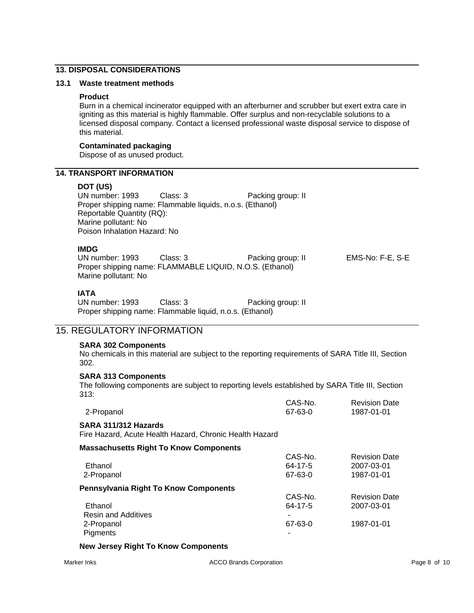## **13. DISPOSAL CONSIDERATIONS**

### **13.1 Waste treatment methods**

#### **Product**

Burn in a chemical incinerator equipped with an afterburner and scrubber but exert extra care in igniting as this material is highly flammable. Offer surplus and non-recyclable solutions to a licensed disposal company. Contact a licensed professional waste disposal service to dispose of this material.

#### **Contaminated packaging**

Dispose of as unused product.

### **14. TRANSPORT INFORMATION**

### **DOT (US)**

UN number: 1993 Class: 3 Packing group: II Proper shipping name: Flammable liquids, n.o.s. (Ethanol) Reportable Quantity (RQ): Marine pollutant: No Poison Inhalation Hazard: No

### **IMDG**

UN number: 1993 Class: 3 Packing group: II EMS-No: F-E, S-E Proper shipping name: FLAMMABLE LIQUID, N.O.S. (Ethanol) Marine pollutant: No

## **IATA**

| UN number: 1993 | Class: 3                                                 | Packing group: II |
|-----------------|----------------------------------------------------------|-------------------|
|                 | Proper shipping name: Flammable liquid, n.o.s. (Ethanol) |                   |

## 15. REGULATORY INFORMATION

### **SARA 302 Components**

No chemicals in this material are subject to the reporting requirements of SARA Title III, Section 302.

### **SARA 313 Components**

The following components are subject to reporting levels established by SARA Title III, Section 313:

| 2-Propanol                                                                      | CAS-No.<br>67-63-0 | <b>Revision Date</b><br>1987-01-01 |
|---------------------------------------------------------------------------------|--------------------|------------------------------------|
| SARA 311/312 Hazards<br>Fire Hazard, Acute Health Hazard, Chronic Health Hazard |                    |                                    |
| <b>Massachusetts Right To Know Components</b>                                   |                    |                                    |
|                                                                                 | CAS-No.            | <b>Revision Date</b>               |
| Ethanol                                                                         | 64-17-5            | 2007-03-01                         |
| 2-Propanol                                                                      | 67-63-0            | 1987-01-01                         |
| <b>Pennsylvania Right To Know Components</b>                                    |                    |                                    |
|                                                                                 | CAS-No.            | <b>Revision Date</b>               |
| Ethanol                                                                         | 64-17-5            | 2007-03-01                         |
| <b>Resin and Additives</b>                                                      |                    |                                    |
| 2-Propanol                                                                      | 67-63-0            | 1987-01-01                         |

### **New Jersey Right To Know Components**

**Pigments**